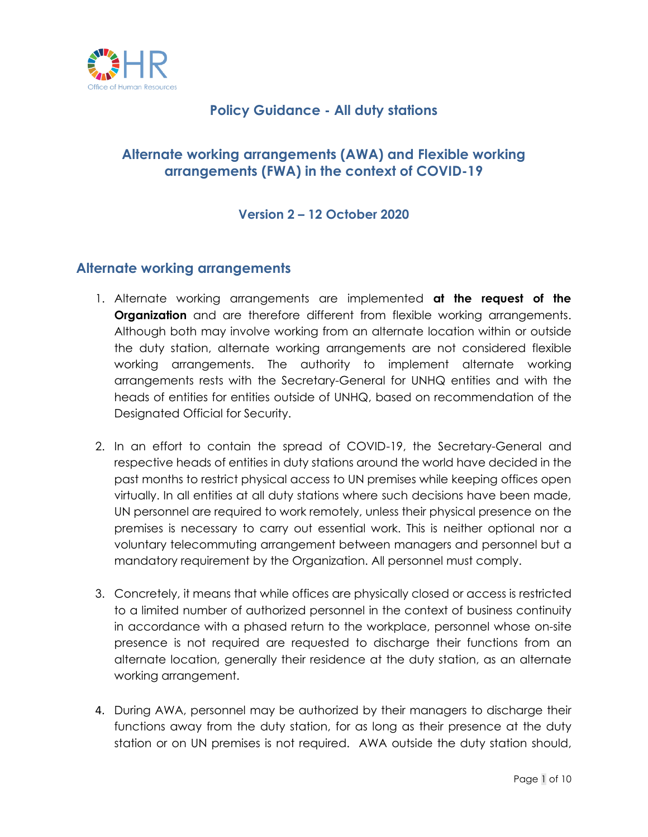

### **Policy Guidance - All duty stations**

## **Alternate working arrangements (AWA) and Flexible working arrangements (FWA) in the context of COVID-19**

#### **Version 2 – 12 October 2020**

#### **Alternate working arrangements**

- 1. Alternate working arrangements are implemented **at the request of the Organization** and are therefore different from flexible working arrangements. Although both may involve working from an alternate location within or outside the duty station, alternate working arrangements are not considered flexible working arrangements. The authority to implement alternate working arrangements rests with the Secretary-General for UNHQ entities and with the heads of entities for entities outside of UNHQ, based on recommendation of the Designated Official for Security.
- 2. In an effort to contain the spread of COVID-19, the Secretary-General and respective heads of entities in duty stations around the world have decided in the past months to restrict physical access to UN premises while keeping offices open virtually. In all entities at all duty stations where such decisions have been made, UN personnel are required to work remotely, unless their physical presence on the premises is necessary to carry out essential work. This is neither optional nor a voluntary telecommuting arrangement between managers and personnel but a mandatory requirement by the Organization. All personnel must comply.
- 3. Concretely, it means that while offices are physically closed or access is restricted to a limited number of authorized personnel in the context of business continuity in accordance with a phased return to the workplace, personnel whose on-site presence is not required are requested to discharge their functions from an alternate location, generally their residence at the duty station, as an alternate working arrangement.
- 4. During AWA, personnel may be authorized by their managers to discharge their functions away from the duty station, for as long as their presence at the duty station or on UN premises is not required. AWA outside the duty station should,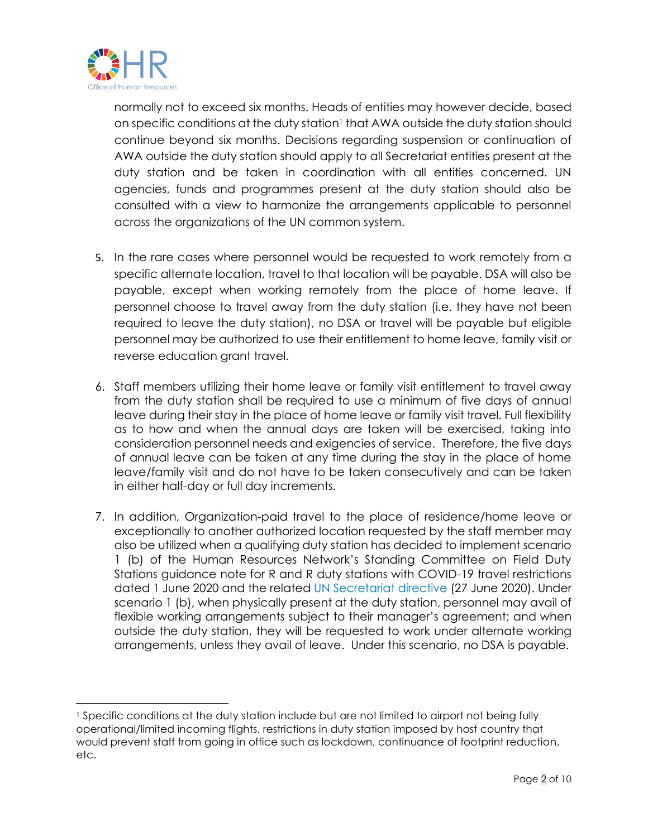

normally not to exceed six months. Heads of entities may however decide, based on specific conditions at the duty station<sup>1</sup> that AWA outside the duty station should continue beyond six months. Decisions regarding suspension or continuation of AWA outside the duty station should apply to all Secretariat entities present at the duty station and be taken in coordination with all entities concerned. UN agencies, funds and programmes present at the duty station should also be consulted with a view to harmonize the arrangements applicable to personnel across the organizations of the UN common system.

- 5. In the rare cases where personnel would be requested to work remotely from a specific alternate location, travel to that location will be payable. DSA will also be payable, except when working remotely from the place of home leave. If personnel choose to travel away from the duty station (i.e. they have not been required to leave the duty station), no DSA or travel will be payable but eligible personnel may be authorized to use their entitlement to home leave, family visit or reverse education grant travel.
- 6. Staff members utilizing their home leave or family visit entitlement to travel away from the duty station shall be required to use a minimum of five days of annual leave during their stay in the place of home leave or family visit travel. Full flexibility as to how and when the annual days are taken will be exercised, taking into consideration personnel needs and exigencies of service. Therefore, the five days of annual leave can be taken at any time during the stay in the place of home leave/family visit and do not have to be taken consecutively and can be taken in either half-day or full day increments.
- 7. In addition, Organization-paid travel to the place of residence/home leave or exceptionally to another authorized location requested by the staff member may also be utilized when a qualifying duty station has decided to implement scenario 1 (b) of the Human Resources Network's Standing Committee on Field Duty Stations guidance note for R and R duty stations with COVID-19 travel restrictions dated 1 June 2020 and the related [UN Secretariat directive](https://iseek.un.org/system/files/un_secretariat_directive_for_implementing_v4_of_guidance_note_for_rr_duty_stations_with_covid-19_travel_restrictions.pdf) (27 June 2020). Under scenario 1 (b), when physically present at the duty station, personnel may avail of flexible working arrangements subject to their manager's agreement; and when outside the duty station, they will be requested to work under alternate working arrangements, unless they avail of leave. Under this scenario, no DSA is payable.

<sup>1</sup> Specific conditions at the duty station include but are not limited to airport not being fully operational/limited incoming flights, restrictions in duty station imposed by host country that would prevent staff from going in office such as lockdown, continuance of footprint reduction, etc.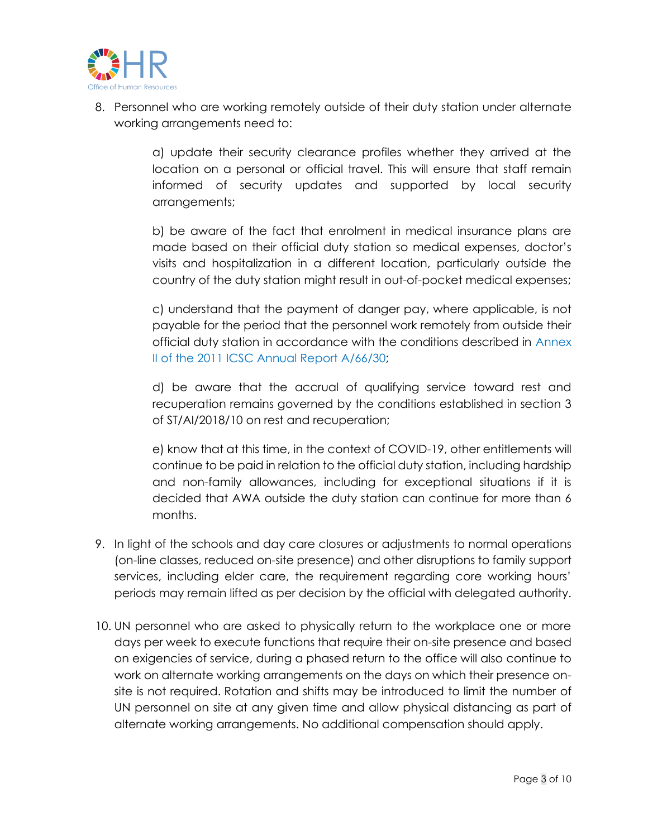

8. Personnel who are working remotely outside of their duty station under alternate working arrangements need to:

> a) update their security clearance profiles whether they arrived at the location on a personal or official travel. This will ensure that staff remain informed of security updates and supported by local security arrangements;

> b) be aware of the fact that enrolment in medical insurance plans are made based on their official duty station so medical expenses, doctor's visits and hospitalization in a different location, particularly outside the country of the duty station might result in out-of-pocket medical expenses;

> c) understand that the payment of danger pay, where applicable, is not payable for the period that the personnel work remotely from outside their official duty station in accordance with the conditions described in [Annex](https://documents-dds-ny.un.org/doc/UNDOC/GEN/N11/482/26/pdf/N1148226.pdf?OpenElement)  [II of the 2011 ICSC Annual Report A/66/30;](https://documents-dds-ny.un.org/doc/UNDOC/GEN/N11/482/26/pdf/N1148226.pdf?OpenElement)

> d) be aware that the accrual of qualifying service toward rest and recuperation remains governed by the conditions established in section 3 of ST/AI/2018/10 on rest and recuperation;

> e) know that at this time, in the context of COVID-19, other entitlements will continue to be paid in relation to the official duty station, including hardship and non-family allowances, including for exceptional situations if it is decided that AWA outside the duty station can continue for more than 6 months.

- 9. In light of the schools and day care closures or adjustments to normal operations (on-line classes, reduced on-site presence) and other disruptions to family support services, including elder care, the requirement regarding core working hours' periods may remain lifted as per decision by the official with delegated authority.
- 10. UN personnel who are asked to physically return to the workplace one or more days per week to execute functions that require their on-site presence and based on exigencies of service, during a phased return to the office will also continue to work on alternate working arrangements on the days on which their presence onsite is not required. Rotation and shifts may be introduced to limit the number of UN personnel on site at any given time and allow physical distancing as part of alternate working arrangements. No additional compensation should apply.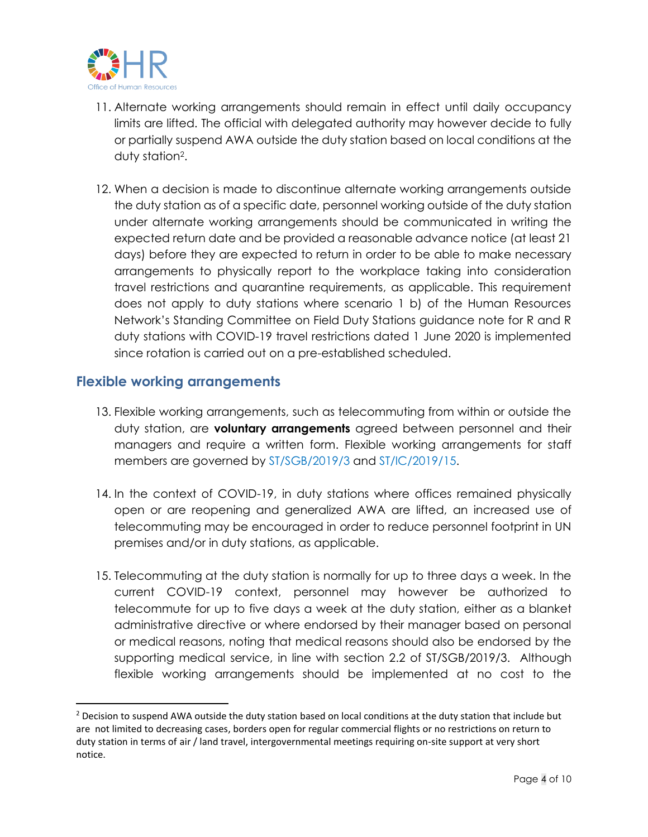

- 11. Alternate working arrangements should remain in effect until daily occupancy limits are lifted. The official with delegated authority may however decide to fully or partially suspend AWA outside the duty station based on local conditions at the duty station<sup>2</sup> .
- 12. When a decision is made to discontinue alternate working arrangements outside the duty station as of a specific date, personnel working outside of the duty station under alternate working arrangements should be communicated in writing the expected return date and be provided a reasonable advance notice (at least 21 days) before they are expected to return in order to be able to make necessary arrangements to physically report to the workplace taking into consideration travel restrictions and quarantine requirements, as applicable. This requirement does not apply to duty stations where scenario 1 b) of the Human Resources Network's Standing Committee on Field Duty Stations guidance note for R and R duty stations with COVID-19 travel restrictions dated 1 June 2020 is implemented since rotation is carried out on a pre-established scheduled.

#### **Flexible working arrangements**

- 13. Flexible working arrangements, such as telecommuting from within or outside the duty station, are **voluntary arrangements** agreed between personnel and their managers and require a written form. Flexible working arrangements for staff members are governed by [ST/SGB/2019/3](https://undocs.org/en/ST/SGB/2019/3) and [ST/IC/2019/15.](https://undocs.org/en/ST/IC/2019/15)
- 14. In the context of COVID-19, in duty stations where offices remained physically open or are reopening and generalized AWA are lifted, an increased use of telecommuting may be encouraged in order to reduce personnel footprint in UN premises and/or in duty stations, as applicable.
- 15. Telecommuting at the duty station is normally for up to three days a week. In the current COVID-19 context, personnel may however be authorized to telecommute for up to five days a week at the duty station, either as a blanket administrative directive or where endorsed by their manager based on personal or medical reasons, noting that medical reasons should also be endorsed by the supporting medical service, in line with section 2.2 of ST/SGB/2019/3. Although flexible working arrangements should be implemented at no cost to the

 $<sup>2</sup>$  Decision to suspend AWA outside the duty station based on local conditions at the duty station that include but</sup> are not limited to decreasing cases, borders open for regular commercial flights or no restrictions on return to duty station in terms of air / land travel, intergovernmental meetings requiring on-site support at very short notice.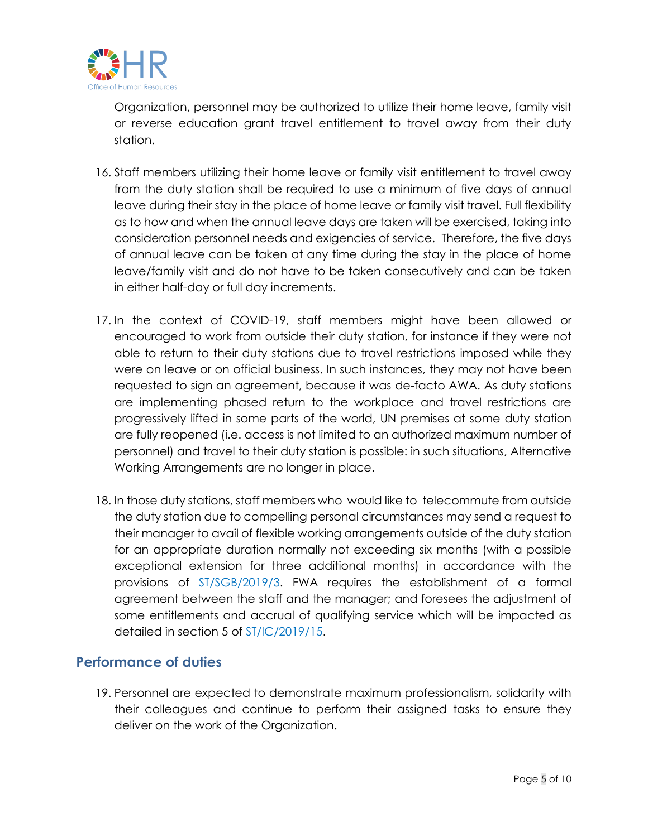

Organization, personnel may be authorized to utilize their home leave, family visit or reverse education grant travel entitlement to travel away from their duty station.

- 16. Staff members utilizing their home leave or family visit entitlement to travel away from the duty station shall be required to use a minimum of five days of annual leave during their stay in the place of home leave or family visit travel. Full flexibility as to how and when the annual leave days are taken will be exercised, taking into consideration personnel needs and exigencies of service. Therefore, the five days of annual leave can be taken at any time during the stay in the place of home leave/family visit and do not have to be taken consecutively and can be taken in either half-day or full day increments.
- 17. In the context of COVID-19, staff members might have been allowed or encouraged to work from outside their duty station, for instance if they were not able to return to their duty stations due to travel restrictions imposed while they were on leave or on official business. In such instances, they may not have been requested to sign an agreement, because it was de-facto AWA. As duty stations are implementing phased return to the workplace and travel restrictions are progressively lifted in some parts of the world, UN premises at some duty station are fully reopened (i.e. access is not limited to an authorized maximum number of personnel) and travel to their duty station is possible: in such situations, Alternative Working Arrangements are no longer in place.
- 18. In those duty stations, staff members who would like to telecommute from outside the duty station due to compelling personal circumstances may send a request to their manager to avail of flexible working arrangements outside of the duty station for an appropriate duration normally not exceeding six months (with a possible exceptional extension for three additional months) in accordance with the provisions of [ST/SGB/2019/3.](https://undocs.org/en/ST/SGB/2019/3) FWA requires the establishment of a formal agreement between the staff and the manager; and foresees the adjustment of some entitlements and accrual of qualifying service which will be impacted as detailed in section 5 of [ST/IC/2019/15.](https://undocs.org/en/ST/IC/2019/15)

#### **Performance of duties**

19. Personnel are expected to demonstrate maximum professionalism, solidarity with their colleagues and continue to perform their assigned tasks to ensure they deliver on the work of the Organization.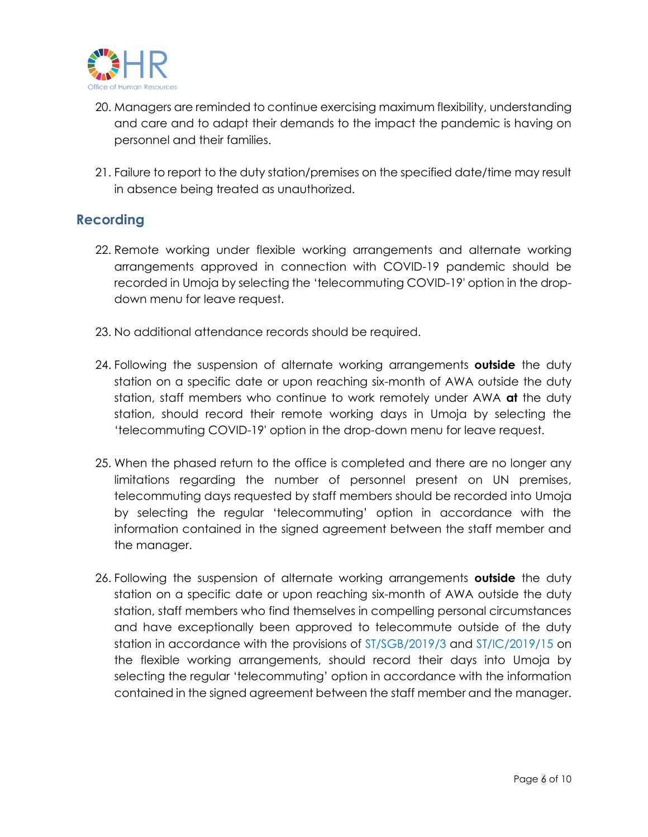

- 20. Managers are reminded to continue exercising maximum flexibility, understanding and care and to adapt their demands to the impact the pandemic is having on personnel and their families.
- 21. Failure to report to the duty station/premises on the specified date/time may result in absence being treated as unauthorized.

#### **Recording**

- 22. Remote working under flexible working arrangements and alternate working arrangements approved in connection with COVID-19 pandemic should be recorded in Umoja by selecting the 'telecommuting COVID-19' option in the dropdown menu for leave request.
- 23. No additional attendance records should be required.
- 24. Following the suspension of alternate working arrangements **outside** the duty station on a specific date or upon reaching six-month of AWA outside the duty station, staff members who continue to work remotely under AWA **at** the duty station, should record their remote working days in Umoja by selecting the 'telecommuting COVID-19' option in the drop-down menu for leave request.
- 25. When the phased return to the office is completed and there are no longer any limitations regarding the number of personnel present on UN premises, telecommuting days requested by staff members should be recorded into Umoja by selecting the regular 'telecommuting' option in accordance with the information contained in the signed agreement between the staff member and the manager.
- 26. Following the suspension of alternate working arrangements **outside** the duty station on a specific date or upon reaching six-month of AWA outside the duty station, staff members who find themselves in compelling personal circumstances and have exceptionally been approved to telecommute outside of the duty station in accordance with the provisions of [ST/SGB/2019/3](https://undocs.org/en/ST/SGB/2019/3) and [ST/IC/2019/15](https://undocs.org/en/ST/IC/2019/15) on the flexible working arrangements, should record their days into Umoja by selecting the regular 'telecommuting' option in accordance with the information contained in the signed agreement between the staff member and the manager.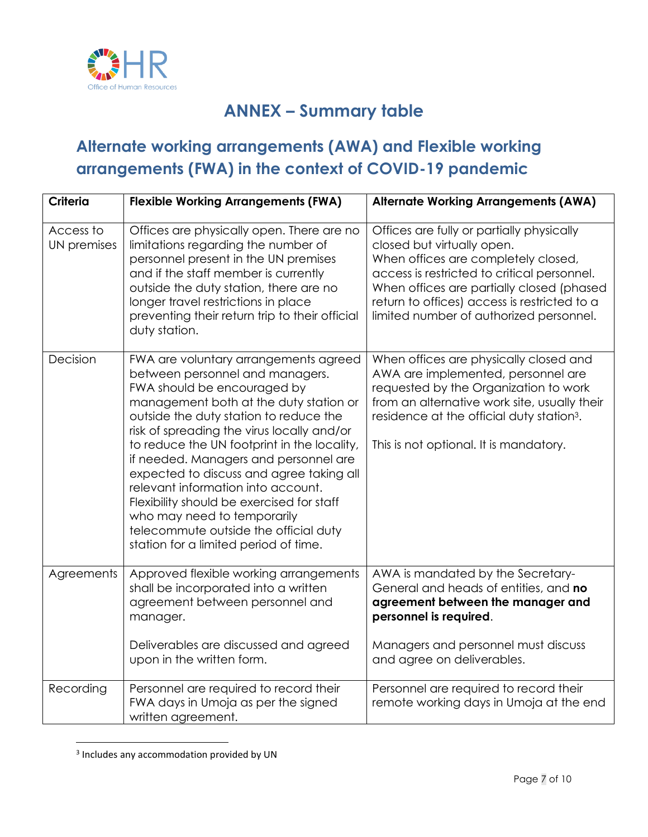

# **ANNEX – Summary table**

# **Alternate working arrangements (AWA) and Flexible working arrangements (FWA) in the context of COVID-19 pandemic**

| Criteria                 | <b>Flexible Working Arrangements (FWA)</b>                                                                                                                                                                                                                                                                                                                                                                                                                                                                                                                                        | <b>Alternate Working Arrangements (AWA)</b>                                                                                                                                                                                                                                                           |
|--------------------------|-----------------------------------------------------------------------------------------------------------------------------------------------------------------------------------------------------------------------------------------------------------------------------------------------------------------------------------------------------------------------------------------------------------------------------------------------------------------------------------------------------------------------------------------------------------------------------------|-------------------------------------------------------------------------------------------------------------------------------------------------------------------------------------------------------------------------------------------------------------------------------------------------------|
| Access to<br>UN premises | Offices are physically open. There are no<br>limitations regarding the number of<br>personnel present in the UN premises<br>and if the staff member is currently<br>outside the duty station, there are no<br>longer travel restrictions in place<br>preventing their return trip to their official<br>duty station.                                                                                                                                                                                                                                                              | Offices are fully or partially physically<br>closed but virtually open.<br>When offices are completely closed,<br>access is restricted to critical personnel.<br>When offices are partially closed (phased<br>return to offices) access is restricted to a<br>limited number of authorized personnel. |
| Decision                 | FWA are voluntary arrangements agreed<br>between personnel and managers.<br>FWA should be encouraged by<br>management both at the duty station or<br>outside the duty station to reduce the<br>risk of spreading the virus locally and/or<br>to reduce the UN footprint in the locality,<br>if needed. Managers and personnel are<br>expected to discuss and agree taking all<br>relevant information into account.<br>Flexibility should be exercised for staff<br>who may need to temporarily<br>telecommute outside the official duty<br>station for a limited period of time. | When offices are physically closed and<br>AWA are implemented, personnel are<br>requested by the Organization to work<br>from an alternative work site, usually their<br>residence at the official duty station <sup>3</sup> .<br>This is not optional. It is mandatory.                              |
| Agreements               | Approved flexible working arrangements<br>shall be incorporated into a written<br>agreement between personnel and<br>manager.                                                                                                                                                                                                                                                                                                                                                                                                                                                     | AWA is mandated by the Secretary-<br>General and heads of entities, and no<br>agreement between the manager and<br>personnel is required.                                                                                                                                                             |
|                          | Deliverables are discussed and agreed<br>upon in the written form.                                                                                                                                                                                                                                                                                                                                                                                                                                                                                                                | Managers and personnel must discuss<br>and agree on deliverables.                                                                                                                                                                                                                                     |
| Recording                | Personnel are required to record their<br>FWA days in Umoja as per the signed<br>written agreement.                                                                                                                                                                                                                                                                                                                                                                                                                                                                               | Personnel are required to record their<br>remote working days in Umoja at the end                                                                                                                                                                                                                     |

<sup>&</sup>lt;sup>3</sup> Includes any accommodation provided by UN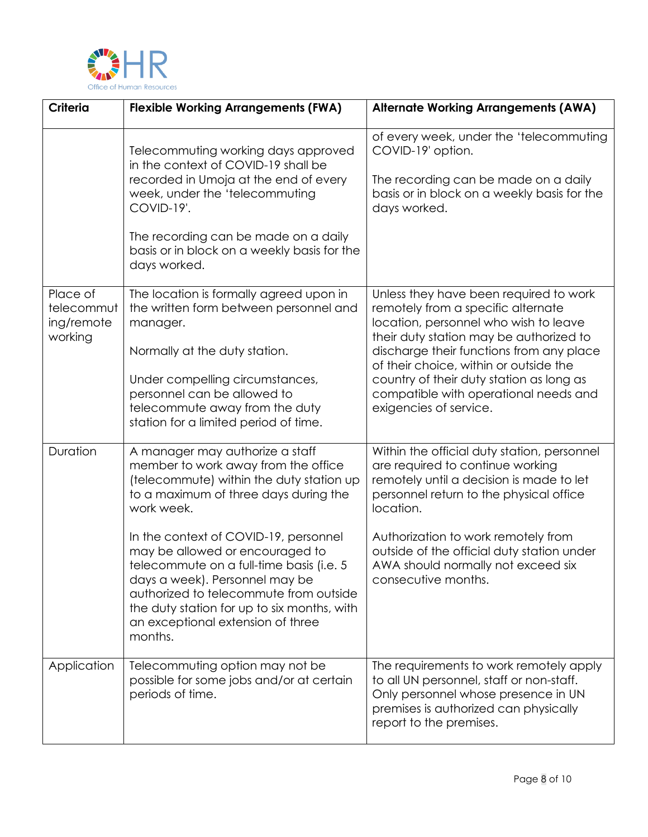

| <b>Criteria</b>                                 | <b>Flexible Working Arrangements (FWA)</b>                                                                                                                                                                                                                                                                                                                                                                                                                                   | <b>Alternate Working Arrangements (AWA)</b>                                                                                                                                                                                                                                                                                                                           |
|-------------------------------------------------|------------------------------------------------------------------------------------------------------------------------------------------------------------------------------------------------------------------------------------------------------------------------------------------------------------------------------------------------------------------------------------------------------------------------------------------------------------------------------|-----------------------------------------------------------------------------------------------------------------------------------------------------------------------------------------------------------------------------------------------------------------------------------------------------------------------------------------------------------------------|
|                                                 | Telecommuting working days approved<br>in the context of COVID-19 shall be<br>recorded in Umoja at the end of every<br>week, under the 'telecommuting<br>COVID-19'.<br>The recording can be made on a daily<br>basis or in block on a weekly basis for the<br>days worked.                                                                                                                                                                                                   | of every week, under the 'telecommuting<br>COVID-19' option.<br>The recording can be made on a daily<br>basis or in block on a weekly basis for the<br>days worked.                                                                                                                                                                                                   |
| Place of<br>telecommut<br>ing/remote<br>working | The location is formally agreed upon in<br>the written form between personnel and<br>manager.<br>Normally at the duty station.<br>Under compelling circumstances,<br>personnel can be allowed to<br>telecommute away from the duty<br>station for a limited period of time.                                                                                                                                                                                                  | Unless they have been required to work<br>remotely from a specific alternate<br>location, personnel who wish to leave<br>their duty station may be authorized to<br>discharge their functions from any place<br>of their choice, within or outside the<br>country of their duty station as long as<br>compatible with operational needs and<br>exigencies of service. |
| Duration                                        | A manager may authorize a staff<br>member to work away from the office<br>(telecommute) within the duty station up<br>to a maximum of three days during the<br>work week.<br>In the context of COVID-19, personnel<br>may be allowed or encouraged to<br>telecommute on a full-time basis (i.e. 5<br>days a week). Personnel may be<br>authorized to telecommute from outside<br>the duty station for up to six months, with<br>an exceptional extension of three<br>months. | Within the official duty station, personnel<br>are required to continue working<br>remotely until a decision is made to let<br>personnel return to the physical office<br>location.<br>Authorization to work remotely from<br>outside of the official duty station under<br>AWA should normally not exceed six<br>consecutive months.                                 |
| Application                                     | Telecommuting option may not be<br>possible for some jobs and/or at certain<br>periods of time.                                                                                                                                                                                                                                                                                                                                                                              | The requirements to work remotely apply<br>to all UN personnel, staff or non-staff.<br>Only personnel whose presence in UN<br>premises is authorized can physically<br>report to the premises.                                                                                                                                                                        |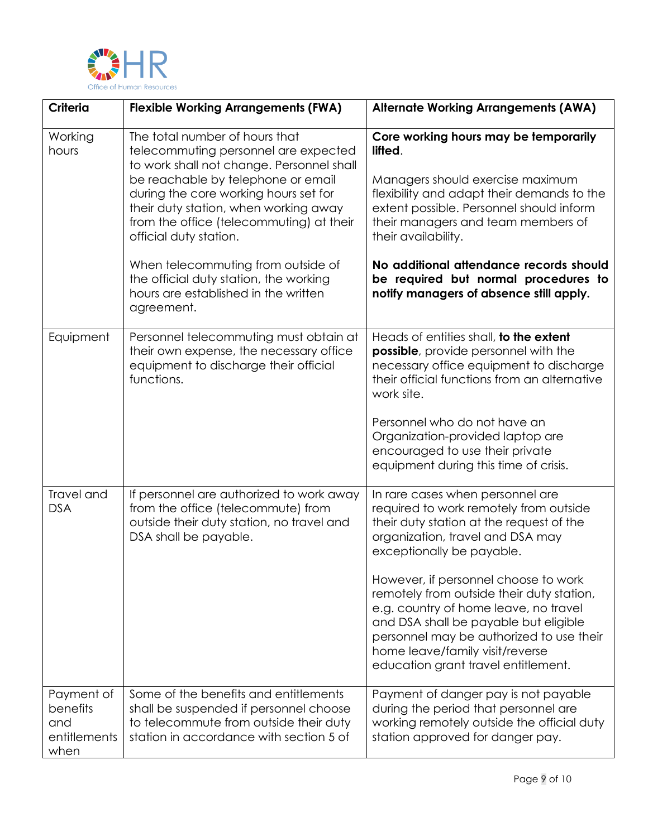

| <b>Criteria</b>                                       | <b>Flexible Working Arrangements (FWA)</b>                                                                                                                                                                                                                                                                                                                                                                                                | <b>Alternate Working Arrangements (AWA)</b>                                                                                                                                                                                                                                                                                                                               |
|-------------------------------------------------------|-------------------------------------------------------------------------------------------------------------------------------------------------------------------------------------------------------------------------------------------------------------------------------------------------------------------------------------------------------------------------------------------------------------------------------------------|---------------------------------------------------------------------------------------------------------------------------------------------------------------------------------------------------------------------------------------------------------------------------------------------------------------------------------------------------------------------------|
| Working<br>hours                                      | The total number of hours that<br>telecommuting personnel are expected<br>to work shall not change. Personnel shall<br>be reachable by telephone or email<br>during the core working hours set for<br>their duty station, when working away<br>from the office (telecommuting) at their<br>official duty station.<br>When telecommuting from outside of<br>the official duty station, the working<br>hours are established in the written | Core working hours may be temporarily<br>lifted.<br>Managers should exercise maximum<br>flexibility and adapt their demands to the<br>extent possible. Personnel should inform<br>their managers and team members of<br>their availability.<br>No additional attendance records should<br>be required but normal procedures to<br>notify managers of absence still apply. |
|                                                       | agreement.                                                                                                                                                                                                                                                                                                                                                                                                                                |                                                                                                                                                                                                                                                                                                                                                                           |
| Equipment                                             | Personnel telecommuting must obtain at<br>their own expense, the necessary office<br>equipment to discharge their official<br>functions.                                                                                                                                                                                                                                                                                                  | Heads of entities shall, to the extent<br>possible, provide personnel with the<br>necessary office equipment to discharge<br>their official functions from an alternative<br>work site.<br>Personnel who do not have an<br>Organization-provided laptop are<br>encouraged to use their private                                                                            |
|                                                       |                                                                                                                                                                                                                                                                                                                                                                                                                                           | equipment during this time of crisis.                                                                                                                                                                                                                                                                                                                                     |
| Travel and<br><b>DSA</b>                              | If personnel are authorized to work away<br>from the office (telecommute) from<br>outside their duty station, no travel and<br>DSA shall be payable.                                                                                                                                                                                                                                                                                      | In rare cases when personnel are<br>required to work remotely from outside<br>their duty station at the request of the<br>organization, travel and DSA may<br>exceptionally be payable.                                                                                                                                                                                   |
|                                                       |                                                                                                                                                                                                                                                                                                                                                                                                                                           | However, if personnel choose to work<br>remotely from outside their duty station,<br>e.g. country of home leave, no travel<br>and DSA shall be payable but eligible<br>personnel may be authorized to use their<br>home leave/family visit/reverse<br>education grant travel entitlement.                                                                                 |
| Payment of<br>benefits<br>and<br>entitlements<br>when | Some of the benefits and entitlements<br>shall be suspended if personnel choose<br>to telecommute from outside their duty<br>station in accordance with section 5 of                                                                                                                                                                                                                                                                      | Payment of danger pay is not payable<br>during the period that personnel are<br>working remotely outside the official duty<br>station approved for danger pay.                                                                                                                                                                                                            |